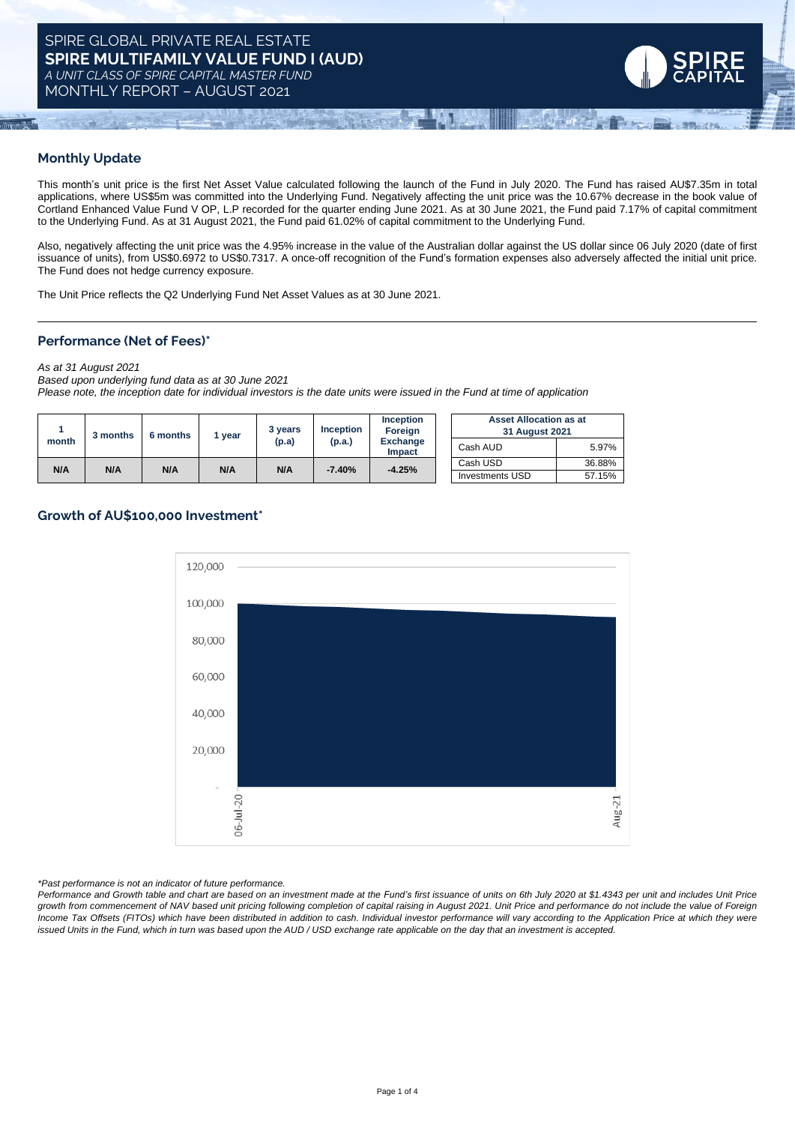MONTHLY REPORT – AUGUST 2021



## **Monthly Update**

This month's unit price is the first Net Asset Value calculated following the launch of the Fund in July 2020. The Fund has raised AU\$7.35m in total applications, where US\$5m was committed into the Underlying Fund. Negatively affecting the unit price was the 10.67% decrease in the book value of Cortland Enhanced Value Fund V OP, L.P recorded for the quarter ending June 2021. As at 30 June 2021, the Fund paid 7.17% of capital commitment to the Underlying Fund. As at 31 August 2021, the Fund paid 61.02% of capital commitment to the Underlying Fund.

Also, negatively affecting the unit price was the 4.95% increase in the value of the Australian dollar against the US dollar since 06 July 2020 (date of first issuance of units), from US\$0.6972 to US\$0.7317. A once-off recognition of the Fund's formation expenses also adversely affected the initial unit price. The Fund does not hedge currency exposure.

The Unit Price reflects the Q2 Underlying Fund Net Asset Values as at 30 June 2021.

## **Performance (Net of Fees)\***

*As at 31 August 2021*

*Based upon underlying fund data as at 30 June 2021* Please note, the inception date for individual investors is the date units were issued in the Fund at time of application

| month | 3 months | 6 months | vear | 3 years<br>(p.a) | <b>Inception</b><br>(p.a.) | <b>Inception</b><br>Foreign<br><b>Exchange</b><br>Impact | <b>Asset Allocation as at</b><br>31 August 2021 |        |
|-------|----------|----------|------|------------------|----------------------------|----------------------------------------------------------|-------------------------------------------------|--------|
|       |          |          |      |                  |                            |                                                          | Cash AUD                                        | 5.97%  |
| N/A   | N/A      | N/A      | N/A  | N/A              | $-7.40%$                   | $-4.25%$                                                 | Cash USD                                        | 36.88% |
|       |          |          |      |                  |                            |                                                          | <b>Investments USD</b>                          | 57.15% |

## **Growth of AU\$100,000 Investment\***



*\*Past performance is not an indicator of future performance.*

Performance and Growth table and chart are based on an investment made at the Fund's first issuance of units on 6th July 2020 at \$1.4343 per unit and includes Unit Price growth from commencement of NAV based unit pricing following completion of capital raising in August 2021. Unit Price and performance do not include the value of Foreign Income Tax Offsets (FITOs) which have been distributed in addition to cash. Individual investor performance will vary according to the Application Price at which they were issued Units in the Fund, which in turn was based upon the AUD / USD exchange rate applicable on the day that an investment is accepted.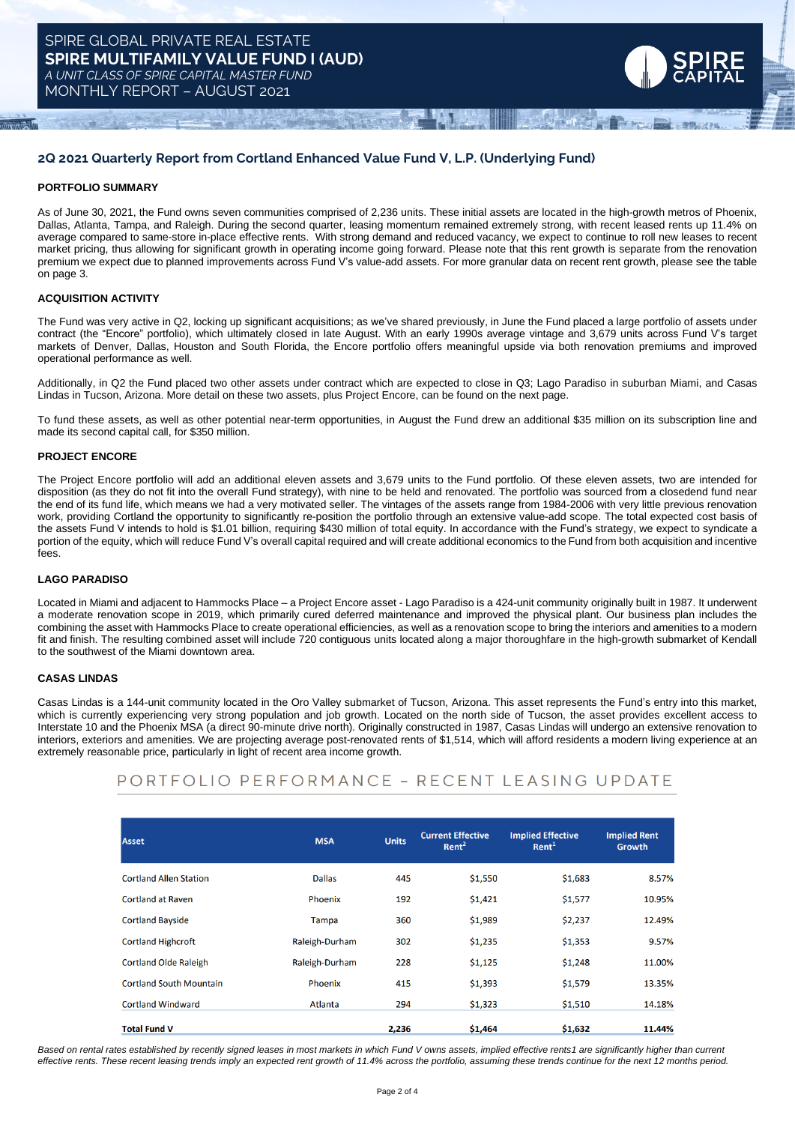

## **2Q 2021 Quarterly Report from Cortland Enhanced Value Fund V, L.P. (Underlying Fund)**

#### **PORTFOLIO SUMMARY**

As of June 30, 2021, the Fund owns seven communities comprised of 2,236 units. These initial assets are located in the high-growth metros of Phoenix, Dallas, Atlanta, Tampa, and Raleigh. During the second quarter, leasing momentum remained extremely strong, with recent leased rents up 11.4% on average compared to same-store in-place effective rents. With strong demand and reduced vacancy, we expect to continue to roll new leases to recent market pricing, thus allowing for significant growth in operating income going forward. Please note that this rent growth is separate from the renovation premium we expect due to planned improvements across Fund V's value-add assets. For more granular data on recent rent growth, please see the table on page 3.

### **ACQUISITION ACTIVITY**

The Fund was very active in Q2, locking up significant acquisitions; as we've shared previously, in June the Fund placed a large portfolio of assets under contract (the "Encore" portfolio), which ultimately closed in late August. With an early 1990s average vintage and 3,679 units across Fund V's target markets of Denver, Dallas, Houston and South Florida, the Encore portfolio offers meaningful upside via both renovation premiums and improved operational performance as well.

Additionally, in Q2 the Fund placed two other assets under contract which are expected to close in Q3; Lago Paradiso in suburban Miami, and Casas Lindas in Tucson, Arizona. More detail on these two assets, plus Project Encore, can be found on the next page.

To fund these assets, as well as other potential near-term opportunities, in August the Fund drew an additional \$35 million on its subscription line and made its second capital call, for \$350 million.

#### **PROJECT ENCORE**

The Project Encore portfolio will add an additional eleven assets and 3,679 units to the Fund portfolio. Of these eleven assets, two are intended for disposition (as they do not fit into the overall Fund strategy), with nine to be held and renovated. The portfolio was sourced from a closedend fund near the end of its fund life, which means we had a very motivated seller. The vintages of the assets range from 1984-2006 with very little previous renovation work, providing Cortland the opportunity to significantly re-position the portfolio through an extensive value-add scope. The total expected cost basis of the assets Fund V intends to hold is \$1.01 billion, requiring \$430 million of total equity. In accordance with the Fund's strategy, we expect to syndicate a portion of the equity, which will reduce Fund V's overall capital required and will create additional economics to the Fund from both acquisition and incentive fees.

#### **LAGO PARADISO**

Located in Miami and adjacent to Hammocks Place – a Project Encore asset - Lago Paradiso is a 424-unit community originally built in 1987. It underwent a moderate renovation scope in 2019, which primarily cured deferred maintenance and improved the physical plant. Our business plan includes the combining the asset with Hammocks Place to create operational efficiencies, as well as a renovation scope to bring the interiors and amenities to a modern fit and finish. The resulting combined asset will include 720 contiguous units located along a major thoroughfare in the high-growth submarket of Kendall to the southwest of the Miami downtown area.

#### **CASAS LINDAS**

Casas Lindas is a 144-unit community located in the Oro Valley submarket of Tucson, Arizona. This asset represents the Fund's entry into this market, which is currently experiencing very strong population and job growth. Located on the north side of Tucson, the asset provides excellent access to Interstate 10 and the Phoenix MSA (a direct 90-minute drive north). Originally constructed in 1987, Casas Lindas will undergo an extensive renovation to interiors, exteriors and amenities. We are projecting average post-renovated rents of \$1,514, which will afford residents a modern living experience at an extremely reasonable price, particularly in light of recent area income growth.

# PORTFOLIO PERFORMANCE - RECENT LEASING UPDATE

| <b>Asset</b>                   | <b>MSA</b>     | <b>Units</b> | <b>Current Effective</b><br>Rent <sup>2</sup> | <b>Implied Effective</b><br>Rent <sup>1</sup> | <b>Implied Rent</b><br>Growth |
|--------------------------------|----------------|--------------|-----------------------------------------------|-----------------------------------------------|-------------------------------|
| <b>Cortland Allen Station</b>  | <b>Dallas</b>  | 445          | \$1,550                                       | \$1,683                                       | 8.57%                         |
| <b>Cortland at Raven</b>       | Phoenix        | 192          | \$1,421                                       | \$1,577                                       | 10.95%                        |
| <b>Cortland Bayside</b>        | Tampa          | 360          | \$1,989                                       | \$2,237                                       | 12.49%                        |
| <b>Cortland Highcroft</b>      | Raleigh-Durham | 302          | \$1,235                                       | \$1,353                                       | 9.57%                         |
| <b>Cortland Olde Raleigh</b>   | Raleigh-Durham | 228          | \$1,125                                       | \$1,248                                       | 11.00%                        |
| <b>Cortland South Mountain</b> | Phoenix        | 415          | \$1,393                                       | \$1,579                                       | 13.35%                        |
| <b>Cortland Windward</b>       | Atlanta        | 294          | \$1,323                                       | \$1,510                                       | 14.18%                        |
| <b>Total Fund V</b>            |                | 2,236        | \$1,464                                       | \$1,632                                       | 11.44%                        |

Based on rental rates established by recently signed leases in most markets in which Fund V owns assets, implied effective rents1 are significantly higher than current effective rents. These recent leasing trends imply an expected rent growth of 11.4% across the portfolio, assuming these trends continue for the next 12 months period.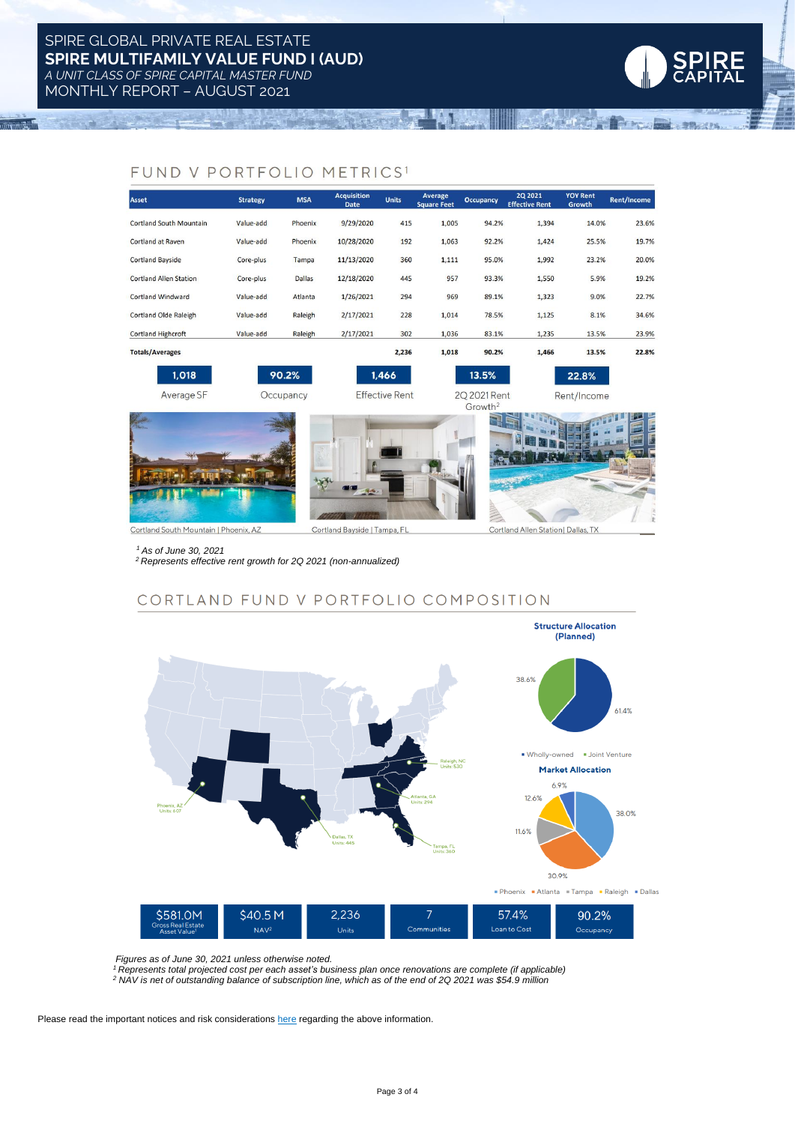

 $\overline{11111}$ 



# FUND V PORTFOLIO METRICS1

| <b>Asset</b>                   | <b>Strategy</b> | <b>MSA</b>    | <b>Acquisition</b><br><b>Date</b> | <b>Units</b>          | Average<br><b>Square Feet</b> | <b>Occupancy</b>                    | <b>2Q 2021</b><br><b>Effective Rent</b> | <b>YOY Rent</b><br>Growth | Rent/Income |
|--------------------------------|-----------------|---------------|-----------------------------------|-----------------------|-------------------------------|-------------------------------------|-----------------------------------------|---------------------------|-------------|
| <b>Cortland South Mountain</b> | Value-add       | Phoenix       | 9/29/2020                         | 415                   | 1,005                         | 94.2%                               | 1,394                                   | 14.0%                     | 23.6%       |
| <b>Cortland at Raven</b>       | Value-add       | Phoenix       | 10/28/2020                        | 192                   | 1,063                         | 92.2%                               | 1,424                                   | 25.5%                     | 19.7%       |
| <b>Cortland Bayside</b>        | Core-plus       | Tampa         | 11/13/2020                        | 360                   | 1,111                         | 95.0%                               | 1,992                                   | 23.2%                     | 20.0%       |
| <b>Cortland Allen Station</b>  | Core-plus       | <b>Dallas</b> | 12/18/2020                        | 445                   | 957                           | 93.3%                               | 1,550                                   | 5.9%                      | 19.2%       |
| <b>Cortland Windward</b>       | Value-add       | Atlanta       | 1/26/2021                         | 294                   | 969                           | 89.1%                               | 1,323                                   | 9.0%                      | 22.7%       |
| <b>Cortland Olde Raleigh</b>   | Value-add       | Raleigh       | 2/17/2021                         | 228                   | 1,014                         | 78.5%                               | 1,125                                   | 8.1%                      | 34.6%       |
| <b>Cortland Highcroft</b>      | Value-add       | Raleigh       | 2/17/2021                         | 302                   | 1,036                         | 83.1%                               | 1,235                                   | 13.5%                     | 23.9%       |
| <b>Totals/Averages</b>         |                 |               |                                   | 2,236                 | 1,018                         | 90.2%                               | 1,466                                   | 13.5%                     | 22.8%       |
| 1,018                          |                 | 90.2%         |                                   | 1,466                 |                               | 13.5%                               |                                         | 22.8%                     |             |
| Average SF                     |                 | Occupancy     |                                   | <b>Effective Rent</b> |                               | 20 2021 Rent<br>Growth <sup>2</sup> |                                         | Rent/Income               |             |
|                                |                 |               |                                   |                       |                               |                                     |                                         |                           |             |

Cortland South Mountain | Phoenix, AZ

Cortland Bayside | Tampa, FL

Cortland Allen Station | Dallas, TX

*<sup>1</sup> As of June 30, 2021*

*<sup>2</sup> Represents effective rent growth for 2Q 2021 (non-annualized)*

# CORTLAND FUND V PORTFOLIO COMPOSITION



 *Figures as of June 30, 2021 unless otherwise noted.*

*<sup>1</sup> Represents total projected cost per each asset's business plan once renovations are complete (if applicable)* <sup>2</sup> NAV is net of outstanding balance of subscription line, which as of the end of 2Q 2021 was \$54.9 million

Please read the important notices and risk considerations [here](https://www.dropbox.com/s/32n9usjhlf2h2n7/Disclaimer.pdf?dl=0) regarding the above information.